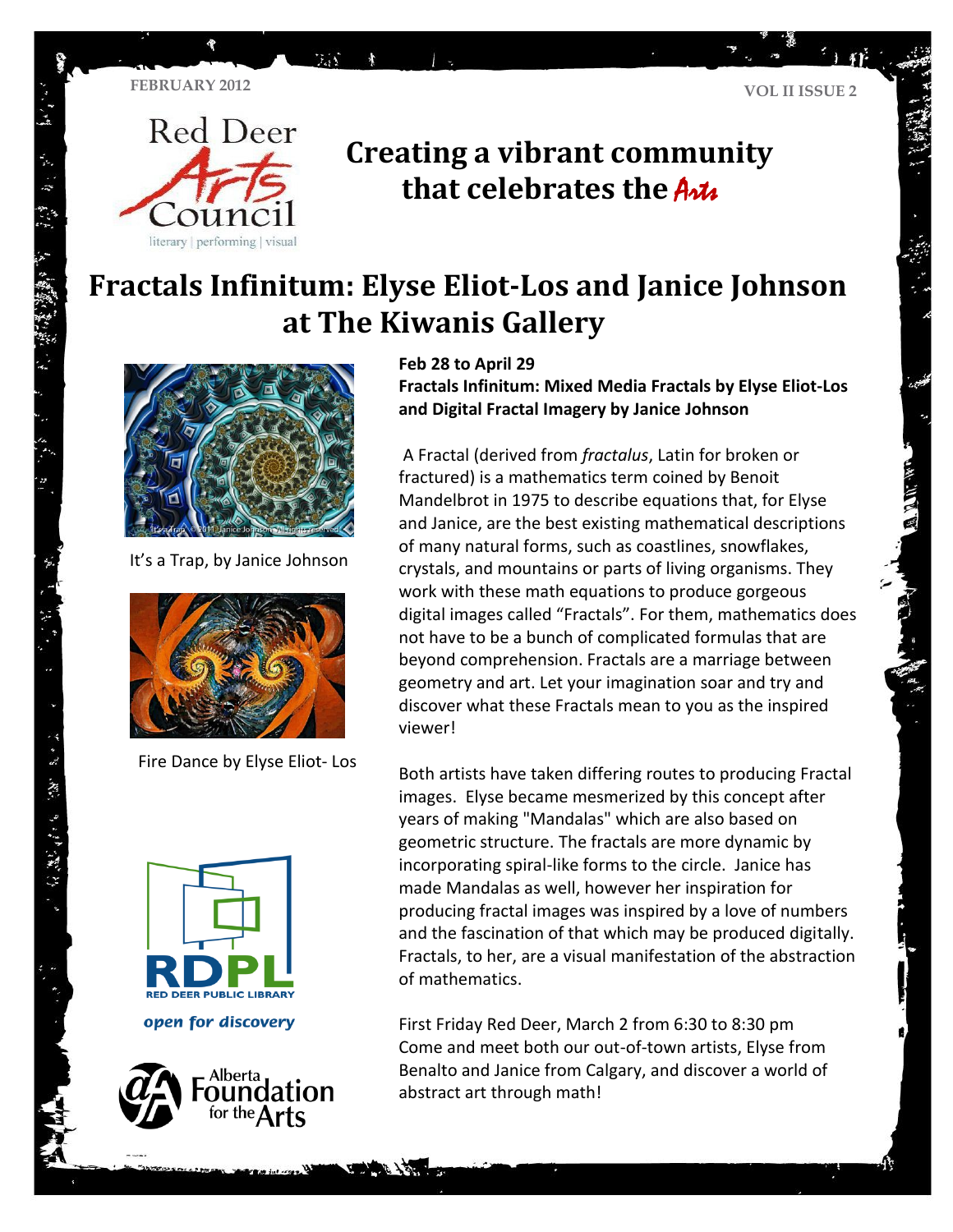$\mathfrak{I}_{\Omega}$ 



# **Creating a vibrant community that celebrates the Artic**

# **Fractals Infinitum: Elyse Eliot-Los and Janice Johnson at The Kiwanis Gallery**



It's a Trap, by Janice Johnson



Fire Dance by Elyse Eliot- Los



・スース スティア アルーン

open for discovery



#### **Feb 28 to April 29**

**Fractals Infinitum: Mixed Media Fractals by Elyse Eliot-Los and Digital Fractal Imagery by Janice Johnson**

A Fractal (derived from *fractalus*, Latin for broken or fractured) is a mathematics term coined by Benoit Mandelbrot in 1975 to describe equations that, for Elyse and Janice, are the best existing mathematical descriptions of many natural forms, such as coastlines, snowflakes, crystals, and mountains or parts of living organisms. They work with these math equations to produce gorgeous digital images called "Fractals". For them, mathematics does not have to be a bunch of complicated formulas that are beyond comprehension. Fractals are a marriage between geometry and art. Let your imagination soar and try and discover what these Fractals mean to you as the inspired viewer!

Both artists have taken differing routes to producing Fractal images. Elyse became mesmerized by this concept after years of making "Mandalas" which are also based on geometric structure. The fractals are more dynamic by incorporating spiral-like forms to the circle. Janice has made Mandalas as well, however her inspiration for producing fractal images was inspired by a love of numbers and the fascination of that which may be produced digitally. Fractals, to her, are a visual manifestation of the abstraction of mathematics.

First Friday Red Deer, March 2 from 6:30 to 8:30 pm Come and meet both our out-of-town artists, Elyse from Benalto and Janice from Calgary, and discover a world of abstract art through math!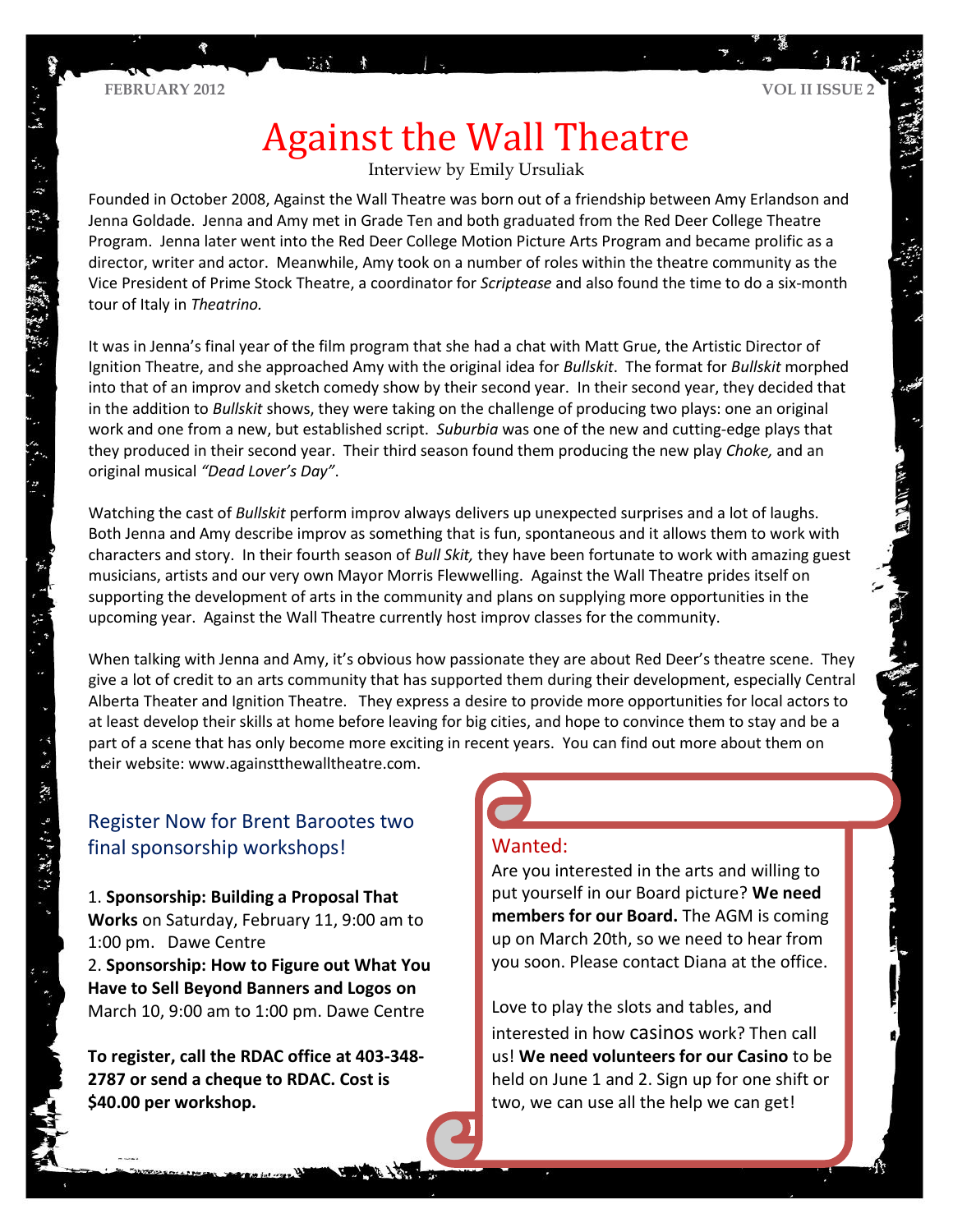# Against the Wall Theatre

Interview by Emily Ursuliak

Founded in October 2008, Against the Wall Theatre was born out of a friendship between Amy Erlandson and Jenna Goldade. Jenna and Amy met in Grade Ten and both graduated from the Red Deer College Theatre Program. Jenna later went into the Red Deer College Motion Picture Arts Program and became prolific as a director, writer and actor. Meanwhile, Amy took on a number of roles within the theatre community as the Vice President of Prime Stock Theatre, a coordinator for *Scriptease* and also found the time to do a six-month tour of Italy in *Theatrino.*

It was in Jenna's final year of the film program that she had a chat with Matt Grue, the Artistic Director of Ignition Theatre, and she approached Amy with the original idea for *Bullskit*. The format for *Bullskit* morphed into that of an improv and sketch comedy show by their second year. In their second year, they decided that in the addition to *Bullskit* shows, they were taking on the challenge of producing two plays: one an original work and one from a new, but established script. *Suburbia* was one of the new and cutting-edge plays that they produced in their second year. Their third season found them producing the new play *Choke,* and an original musical *"Dead Lover's Day"*.

Watching the cast of *Bullskit* perform improv always delivers up unexpected surprises and a lot of laughs. Both Jenna and Amy describe improv as something that is fun, spontaneous and it allows them to work with characters and story. In their fourth season of *Bull Skit,* they have been fortunate to work with amazing guest musicians, artists and our very own Mayor Morris Flewwelling. Against the Wall Theatre prides itself on supporting the development of arts in the community and plans on supplying more opportunities in the upcoming year. Against the Wall Theatre currently host improv classes for the community.

When talking with Jenna and Amy, it's obvious how passionate they are about Red Deer's theatre scene. They give a lot of credit to an arts community that has supported them during their development, especially Central Alberta Theater and Ignition Theatre. They express a desire to provide more opportunities for local actors to at least develop their skills at home before leaving for big cities, and hope to convince them to stay and be a part of a scene that has only become more exciting in recent years. You can find out more about them on their website: www.againstthewalltheatre.com.

## Register Now for Brent Barootes two final sponsorship workshops!

1. **Sponsorship: Building a Proposal That Works** on Saturday, February 11, 9:00 am to 1:00 pm. Dawe Centre 2. **Sponsorship: How to Figure out What You** 

**Have to Sell Beyond Banners and Logos on**  March 10, 9:00 am to 1:00 pm. Dawe Centre

**To register, call the RDAC office at 403-348- 2787 or send a cheque to RDAC. Cost is \$40.00 per workshop.**

### Wanted:

Are you interested in the arts and willing to put yourself in our Board picture? **We need members for our Board.** The AGM is coming up on March 20th, so we need to hear from you soon. Please contact Diana at the office.

Love to play the slots and tables, and interested in how casinos work? Then call us! **We need volunteers for our Casino** to be held on June 1 and 2. Sign up for one shift or two, we can use all the help we can get!

 $\ddot{\tilde{\mathbf{z}}}$ 

 $\mathcal{L} = \{ \mathcal{L}_1, \mathcal{L}_2, \mathcal{L}_3, \mathcal{L}_4, \mathcal{L}_5, \mathcal{L}_6, \mathcal{L}_7, \mathcal{L}_8, \mathcal{L}_9, \mathcal{L}_1, \mathcal{L}_1, \mathcal{L}_2, \mathcal{L}_3, \mathcal{L}_4, \mathcal{L}_5, \mathcal{L}_6, \mathcal{L}_7, \mathcal{L}_8, \mathcal{L}_9, \mathcal{L}_1, \mathcal{L}_1, \mathcal{L}_2, \mathcal{L}_3, \mathcal{L}_1, \mathcal{L}_2, \mathcal{L}_3, \mathcal$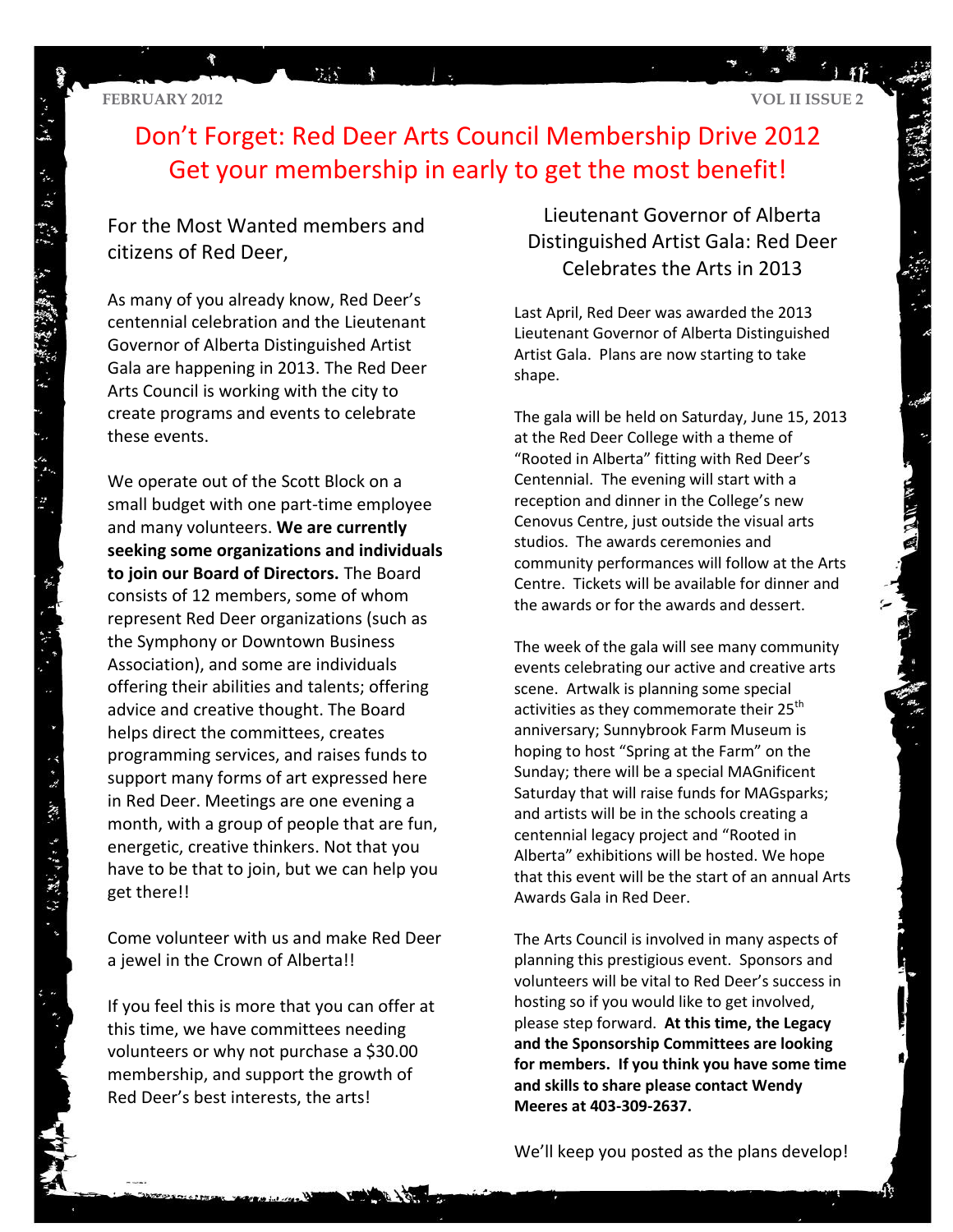贾

# Don't Forget: Red Deer Arts Council Membership Drive 2012 Get your membership in early to get the most benefit!

## For the Most Wanted members and citizens of Red Deer,

ついい

As many of you already know, Red Deer's centennial celebration and the Lieutenant Governor of Alberta Distinguished Artist Gala are happening in 2013. The Red Deer Arts Council is working with the city to create programs and events to celebrate these events.

We operate out of the Scott Block on a small budget with one part-time employee and many volunteers. **We are currently seeking some organizations and individuals to join our Board of Directors.** The Board consists of 12 members, some of whom represent Red Deer organizations (such as the Symphony or Downtown Business Association), and some are individuals offering their abilities and talents; offering advice and creative thought. The Board helps direct the committees, creates programming services, and raises funds to support many forms of art expressed here in Red Deer. Meetings are one evening a month, with a group of people that are fun, energetic, creative thinkers. Not that you have to be that to join, but we can help you get there!!

Come volunteer with us and make Red Deer a jewel in the Crown of Alberta!!

If you feel this is more that you can offer at this time, we have committees needing volunteers or why not purchase a \$30.00 membership, and support the growth of Red Deer's best interests, the arts!

Lieutenant Governor of Alberta Distinguished Artist Gala: Red Deer Celebrates the Arts in 2013

Last April, Red Deer was awarded the 2013 Lieutenant Governor of Alberta Distinguished Artist Gala. Plans are now starting to take shape.

The gala will be held on Saturday, June 15, 2013 at the Red Deer College with a theme of "Rooted in Alberta" fitting with Red Deer's Centennial. The evening will start with a reception and dinner in the College's new Cenovus Centre, just outside the visual arts studios. The awards ceremonies and community performances will follow at the Arts Centre. Tickets will be available for dinner and the awards or for the awards and dessert.

The week of the gala will see many community events celebrating our active and creative arts scene. Artwalk is planning some special activities as they commemorate their 25<sup>th</sup> anniversary; Sunnybrook Farm Museum is hoping to host "Spring at the Farm" on the Sunday; there will be a special MAGnificent Saturday that will raise funds for MAGsparks; and artists will be in the schools creating a centennial legacy project and "Rooted in Alberta" exhibitions will be hosted. We hope that this event will be the start of an annual Arts Awards Gala in Red Deer.

The Arts Council is involved in many aspects of planning this prestigious event. Sponsors and volunteers will be vital to Red Deer's success in hosting so if you would like to get involved, please step forward. **At this time, the Legacy and the Sponsorship Committees are looking for members. If you think you have some time and skills to share please contact Wendy Meeres at 403-309-2637.**